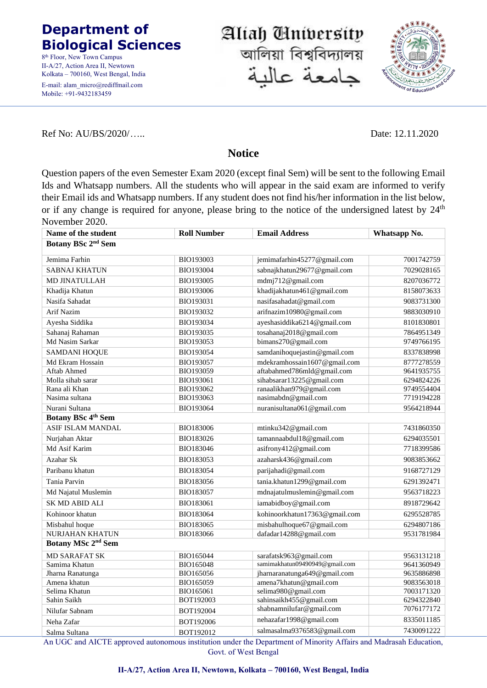## **Department of Biological Sciences**

8<sup>th</sup> Floor, New Town Campus II-A/27, Action Area II, Newtown Kolkata – 700160, West Bengal, India E-mail: alam\_micro@rediffmail.com Mobile: +91-9432183459

Ref No: AU/BS/2020/….. Date: 12.11.2020

## **Notice**

Aliah University

আলিয়া বিশ্ববিদ্যালয়

جامعة عالد

Question papers of the even Semester Exam 2020 (except final Sem) will be sent to the following Email Ids and Whatsapp numbers. All the students who will appear in the said exam are informed to verify their Email ids and Whatsapp numbers. If any student does not find his/her information in the list below, or if any change is required for anyone, please bring to the notice of the undersigned latest by 24<sup>th</sup> November 2020.

| Name of the student            | <b>Roll Number</b> | <b>Email Address</b>           | Whatsapp No. |  |  |
|--------------------------------|--------------------|--------------------------------|--------------|--|--|
| Botany BSc 2 <sup>nd</sup> Sem |                    |                                |              |  |  |
| Jemima Farhin                  | BIO193003          | jemimafarhin45277@gmail.com    | 7001742759   |  |  |
| <b>SABNAJ KHATUN</b>           | BIO193004          | sabnajkhatun29677@gmail.com    | 7029028165   |  |  |
| <b>MD JINATULLAH</b>           | BIO193005          | mdmj712@gmail.com              | 8207036772   |  |  |
| Khadija Khatun                 | <b>BIO193006</b>   | khadijakhatun461@gmail.com     | 8158073633   |  |  |
| Nasifa Sahadat                 | BIO193031          | nasifasahadat@gmail.com        | 9083731300   |  |  |
| Arif Nazim                     | BIO193032          | arifnazim10980@gmail.com       | 9883030910   |  |  |
| Ayesha Siddika                 | BIO193034          | ayeshasiddika6214@gmail.com    | 8101830801   |  |  |
| Sahanaj Rahaman                | BIO193035          | tosahanaj2018@gmail.com        | 7864951349   |  |  |
| Md Nasim Sarkar                | BIO193053          | bimans270@gmail.com            | 9749766195   |  |  |
| <b>SAMDANI HOQUE</b>           | BIO193054          | samdanihoquejastin@gmail.com   | 8337838998   |  |  |
| Md Ekram Hossain               | BIO193057          | mdekramhossain1607@gmail.com   | 8777278559   |  |  |
| Aftab Ahmed                    | BIO193059          | aftabahmed786mld@gmail.com     | 9641935755   |  |  |
| Molla sihab sarar              | BIO193061          | sihabsarar13225@gmail.com      | 6294824226   |  |  |
| Rana ali Khan                  | BIO193062          | ranaalikhan979@gmail.com       | 9749554404   |  |  |
| Nasima sultana                 | BIO193063          | nasimabdn@gmail.com            | 7719194228   |  |  |
| Nurani Sultana                 | BIO193064          | nuranisultana061@gmail.com     | 9564218944   |  |  |
| <b>Botany BSc 4th Sem</b>      |                    |                                |              |  |  |
| <b>ASIF ISLAM MANDAL</b>       | BIO183006          | mtinku342@gmail.com            | 7431860350   |  |  |
| Nurjahan Aktar                 | BIO183026          | tamannaabdul18@gmail.com       | 6294035501   |  |  |
| Md Asif Karim                  | BIO183046          | asifrony412@gmail.com          | 7718399586   |  |  |
| Azahar Sk                      | BIO183053          | azaharsk436@gmail.com          | 9083853662   |  |  |
| Paribanu khatun                | BIO183054          | parijahadi@gmail.com           | 9168727129   |  |  |
| Tania Parvin                   | BIO183056          | tania.khatun1299@gmail.com     | 6291392471   |  |  |
| Md Najatul Muslemin            | <b>BIO183057</b>   | mdnajatulmuslemin@gmail.com    | 9563718223   |  |  |
| <b>SK MD ABID ALI</b>          | BIO183061          | iamabidboy@gmail.com           | 8918729642   |  |  |
| Kohinoor khatun                | BIO183064          | kohinoorkhatun17363@gmail.com  | 6295528785   |  |  |
| Misbahul hoque                 | BIO183065          | misbahulhoque67@gmail.com      | 6294807186   |  |  |
| <b>NURJAHAN KHATUN</b>         | BIO183066          | dafadar14288@gmail.com         | 9531781984   |  |  |
| Botany MSc 2 <sup>nd</sup> Sem |                    |                                |              |  |  |
| <b>MD SARAFAT SK</b>           | BIO165044          | sarafatsk963@gmail.com         | 9563131218   |  |  |
| Samima Khatun                  | BIO165048          | samimakhatun09490949@gmail.com | 9641360949   |  |  |
| Jharna Ranatunga               | BIO165056          | jharnaranatunga649@gmail.com   | 9635886898   |  |  |
| Amena khatun                   | BIO165059          | amena7khatun@gmail.com         | 9083563018   |  |  |
| Selima Khatun                  | BIO165061          | selima980@gmail.com            | 7003171320   |  |  |
| Sahin Saikh                    | BOT192003          | sahinsaikh455@gmail.com        | 6294322840   |  |  |
| Nilufar Sabnam                 | BOT192004          | shabnamnilufar@gmail.com       | 7076177172   |  |  |
| Neha Zafar                     | BOT192006          | nehazafar1998@gmail.com        | 8335011185   |  |  |
| Salma Sultana                  | BOT192012          | salmasalma9376583@gmail.com    | 7430091222   |  |  |

An UGC and AICTE approved autonomous institution under the Department of Minority Affairs and Madrasah Education, Govt. of West Bengal

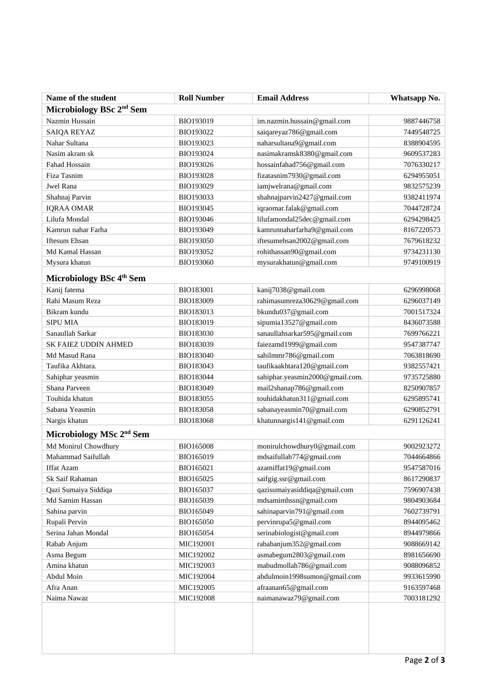| Name of the student                  | <b>Roll Number</b> | <b>Email Address</b>            | Whatsapp No. |  |  |
|--------------------------------------|--------------------|---------------------------------|--------------|--|--|
| Microbiology BSc 2 <sup>nd</sup> Sem |                    |                                 |              |  |  |
| Nazmin Hussain                       | BIO193019          | im.nazmin.hussain@gmail.com     | 9887446758   |  |  |
| SAIQA REYAZ                          | BIO193022          | saiqareyaz786@gmail.com         | 7449548725   |  |  |
| Nahar Sultana                        | BIO193023          | naharsultana9@gmail.com         | 8388904595   |  |  |
| Nasim akram sk                       | BIO193024          | nasimakramsk8380@gmail.com      | 9609537283   |  |  |
| Fahad Hossain                        | BIO193026          | hossainfahad756@gmail.com       | 7076330217   |  |  |
| Fiza Tasnim                          | BIO193028          | fizatasnim7930@gmail.com        | 6294955051   |  |  |
| Jwel Rana                            | BIO193029          | iamjwelrana@gmail.com           | 9832575239   |  |  |
| Shahnaj Parvin                       | BIO193033          | shahnajparvin2427@gmail.com     | 9382411974   |  |  |
| <b>IQRAA OMAR</b>                    | BIO193045          | iqraomar.falak@gmail.com        | 7044728724   |  |  |
| Lilufa Mondal                        | BIO193046          | lilufamondal25dec@gmail.com     | 6294298425   |  |  |
| Kamrun nahar Farha                   | BIO193049          | kamrunnaharfarha9@gmail.com     | 8167220573   |  |  |
| Iftesum Ehsan                        | BIO193050          | iftesumehsan2002@gmail.com      | 7679618232   |  |  |
| Md Kamal Hassan                      | BIO193052          | rohithassan90@gmail.com         | 9734231130   |  |  |
| Mysura khatun                        | BIO193060          | mysurakhatun@gmail.com          | 9749100919   |  |  |
| Microbiology BSc 4 <sup>th</sup> Sem |                    |                                 |              |  |  |
| Kanij fatema                         | BIO183001          | kanij7038@gmail.com             | 6296998068   |  |  |
| Rahi Masum Reza                      | BIO183009          | rahimasumreza30629@gmail.com    | 6296037149   |  |  |
| Bikram kundu                         | BIO183013          | bkundu037@gmail.com             | 7001517324   |  |  |
| <b>SIPU MIA</b>                      | BIO183019          | sipumia13527@gmail.com          | 8436073588   |  |  |
| Sanaullah Sarkar                     | BIO183030          | sanaullahsarkar595@gmail.com    | 7699766221   |  |  |
| SK FAIEZ UDDIN AHMED                 | BIO183039          | faiezamd1999@gmail.com          | 9547387747   |  |  |
| Md Masud Rana                        | BIO183040          | sahilmmr786@gmail.com           | 7063818690   |  |  |
| Taufika Akhtara.                     | BIO183043          | taufikaakhtara120@gmail.com     | 9382557421   |  |  |
| Sahiphar yeasmin                     | BIO183044          | sahiphar.yeasmin2000@gmail.com. | 9735725880   |  |  |
| Shana Parveen                        | BIO183049          | mail2shanap786@gmail.com        | 8250907857   |  |  |
| Touhida khatun                       | BIO183055          | touhidakhatun311@gmail.com      | 6295895741   |  |  |
| Sabana Yeasmin                       | BIO183058          | sabanayeasmin70@gmail.com       | 6290852791   |  |  |
| Nargis khatun                        | BIO183068          | khatunnargis141@gmail.com       | 6291126241   |  |  |
| Microbiology MSc 2 <sup>nd</sup> Sem |                    |                                 |              |  |  |
| Md Monirul Chowdhury                 | <b>BIO165008</b>   | monirulchowdhury0@gmail.com     | 9002923272   |  |  |
| Mahammad Saifullah                   | BIO165019          | mdsaifullah774@gmail.com        | 7044664866   |  |  |
| <b>Iffat Azam</b>                    | BIO165021          | azamiffat19@gmail.com           | 9547587016   |  |  |
| Sk Saif Rahaman                      | BIO165025          | saifgig.ssr@gmail.com           | 8617290837   |  |  |
| Qazi Sumaiya Siddiqa                 | BIO165037          | qazisumaiyasiddiqa@gmail.com    | 7596907438   |  |  |
| Md Samim Hassan                      | BIO165039          | mdsamimhssn@gmail.com           | 9804903684   |  |  |
| Sahina parvin                        | BIO165049          | sahinaparvin791@gmail.com       | 7602739791   |  |  |
| Rupali Pervin                        | BIO165050          | pervinrupa5@gmail.com           | 8944095462   |  |  |
| Serina Jahan Mondal                  | BIO165054          | serinabiologist@gmail.com       | 8944979866   |  |  |
| Rabab Anjum                          | MIC192001          | rababanjum352@gmail.com         | 9088669142   |  |  |
| Asma Begum                           | MIC192002          | asmabegum2803@gmail.com         | 8981656690   |  |  |
| Amina khatun                         | MIC192003          | mabudmollah786@gmail.com        | 9088096852   |  |  |
| Abdul Moin                           | MIC192004          | abdulmoin1998sumon@gmail.com    | 9933615990   |  |  |
| Afra Anan                            | MIC192005          | afraanan65@gmail.com            | 9163597468   |  |  |
| Naima Nawaz                          | MIC192008          | naimanawaz79@gmail.com          | 7003181292   |  |  |
|                                      |                    |                                 |              |  |  |